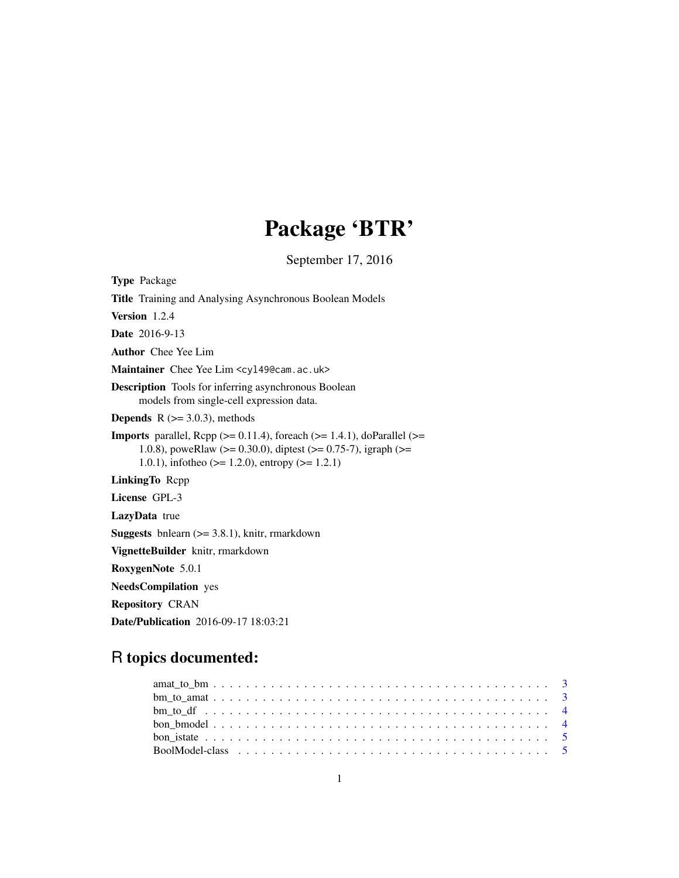# Package 'BTR'

September 17, 2016

| <b>Type Package</b>                                                                                                                                                                                                                         |
|---------------------------------------------------------------------------------------------------------------------------------------------------------------------------------------------------------------------------------------------|
| <b>Title</b> Training and Analysing Asynchronous Boolean Models                                                                                                                                                                             |
| Version 1.2.4                                                                                                                                                                                                                               |
| <b>Date</b> 2016-9-13                                                                                                                                                                                                                       |
| <b>Author</b> Chee Yee Lim                                                                                                                                                                                                                  |
| Maintainer Chee Yee Lim <cy149@cam.ac.uk></cy149@cam.ac.uk>                                                                                                                                                                                 |
| <b>Description</b> Tools for inferring asynchronous Boolean<br>models from single-cell expression data.                                                                                                                                     |
| <b>Depends</b> $R$ ( $>=$ 3.0.3), methods                                                                                                                                                                                                   |
| <b>Imports</b> parallel, Rcpp ( $> = 0.11.4$ ), foreach ( $> = 1.4.1$ ), doParallel ( $> =$<br>1.0.8), poweRlaw ( $>= 0.30.0$ ), diptest ( $>= 0.75$ -7), igraph ( $>= 1.08$ )<br>1.0.1), infotheo ( $> = 1.2.0$ ), entropy ( $> = 1.2.1$ ) |
| LinkingTo Repp                                                                                                                                                                                                                              |
| License GPL-3                                                                                                                                                                                                                               |
| <b>LazyData</b> true                                                                                                                                                                                                                        |
| <b>Suggests</b> bnlearn $(>= 3.8.1)$ , knitr, rmarkdown                                                                                                                                                                                     |
| VignetteBuilder knitr, rmarkdown                                                                                                                                                                                                            |
| RoxygenNote 5.0.1                                                                                                                                                                                                                           |
| <b>NeedsCompilation</b> yes                                                                                                                                                                                                                 |
| <b>Repository CRAN</b>                                                                                                                                                                                                                      |
| Date/Publication 2016-09-17 18:03:21                                                                                                                                                                                                        |

## R topics documented: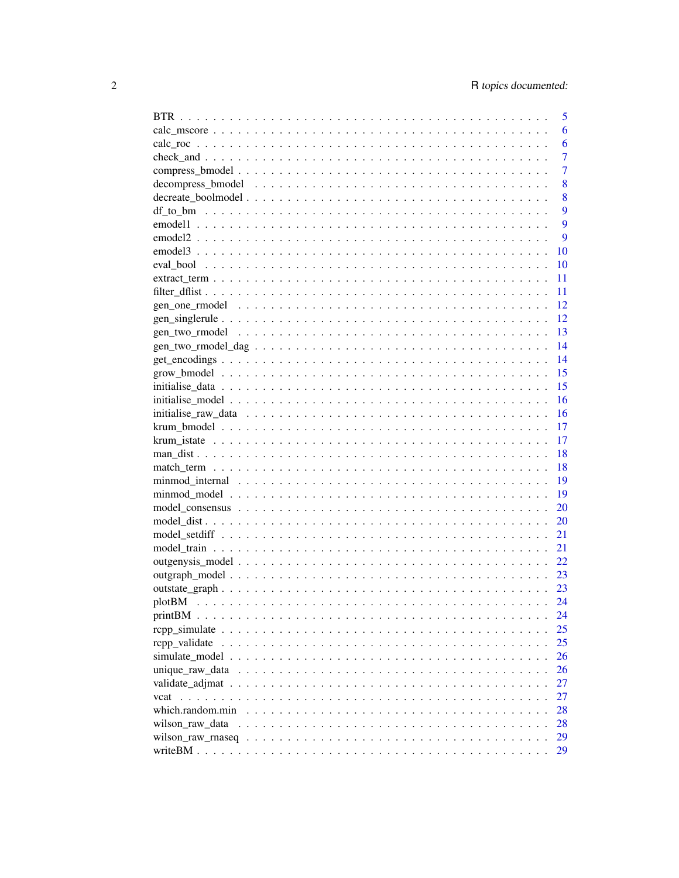|                 |  |  |  |  |  |  |  |  |  |  |  | 5              |
|-----------------|--|--|--|--|--|--|--|--|--|--|--|----------------|
|                 |  |  |  |  |  |  |  |  |  |  |  | 6              |
|                 |  |  |  |  |  |  |  |  |  |  |  | 6              |
|                 |  |  |  |  |  |  |  |  |  |  |  | $\overline{7}$ |
|                 |  |  |  |  |  |  |  |  |  |  |  | 7              |
|                 |  |  |  |  |  |  |  |  |  |  |  | 8              |
|                 |  |  |  |  |  |  |  |  |  |  |  | 8              |
|                 |  |  |  |  |  |  |  |  |  |  |  | 9              |
|                 |  |  |  |  |  |  |  |  |  |  |  | 9              |
|                 |  |  |  |  |  |  |  |  |  |  |  | 9              |
|                 |  |  |  |  |  |  |  |  |  |  |  | 10             |
|                 |  |  |  |  |  |  |  |  |  |  |  | 10             |
|                 |  |  |  |  |  |  |  |  |  |  |  | 11             |
|                 |  |  |  |  |  |  |  |  |  |  |  | 11             |
|                 |  |  |  |  |  |  |  |  |  |  |  | 12             |
|                 |  |  |  |  |  |  |  |  |  |  |  | 12             |
|                 |  |  |  |  |  |  |  |  |  |  |  | 13             |
|                 |  |  |  |  |  |  |  |  |  |  |  | 14             |
|                 |  |  |  |  |  |  |  |  |  |  |  | 14             |
|                 |  |  |  |  |  |  |  |  |  |  |  | 15             |
|                 |  |  |  |  |  |  |  |  |  |  |  | 15             |
|                 |  |  |  |  |  |  |  |  |  |  |  | 16             |
|                 |  |  |  |  |  |  |  |  |  |  |  | 16             |
|                 |  |  |  |  |  |  |  |  |  |  |  | 17             |
|                 |  |  |  |  |  |  |  |  |  |  |  | 17             |
|                 |  |  |  |  |  |  |  |  |  |  |  | 18             |
|                 |  |  |  |  |  |  |  |  |  |  |  | 18             |
|                 |  |  |  |  |  |  |  |  |  |  |  | 19             |
|                 |  |  |  |  |  |  |  |  |  |  |  | 19             |
|                 |  |  |  |  |  |  |  |  |  |  |  | 20             |
|                 |  |  |  |  |  |  |  |  |  |  |  | 20             |
|                 |  |  |  |  |  |  |  |  |  |  |  | 21             |
|                 |  |  |  |  |  |  |  |  |  |  |  | 21             |
|                 |  |  |  |  |  |  |  |  |  |  |  | 22             |
|                 |  |  |  |  |  |  |  |  |  |  |  | 23             |
|                 |  |  |  |  |  |  |  |  |  |  |  | 23             |
|                 |  |  |  |  |  |  |  |  |  |  |  | 24             |
|                 |  |  |  |  |  |  |  |  |  |  |  | 24             |
|                 |  |  |  |  |  |  |  |  |  |  |  | 25             |
| rcpp_validate   |  |  |  |  |  |  |  |  |  |  |  | 25             |
|                 |  |  |  |  |  |  |  |  |  |  |  | 26             |
|                 |  |  |  |  |  |  |  |  |  |  |  | 26             |
|                 |  |  |  |  |  |  |  |  |  |  |  | 27             |
|                 |  |  |  |  |  |  |  |  |  |  |  | 27             |
|                 |  |  |  |  |  |  |  |  |  |  |  | 28             |
| wilson_raw_data |  |  |  |  |  |  |  |  |  |  |  | 28             |
|                 |  |  |  |  |  |  |  |  |  |  |  | 29             |
|                 |  |  |  |  |  |  |  |  |  |  |  | 29             |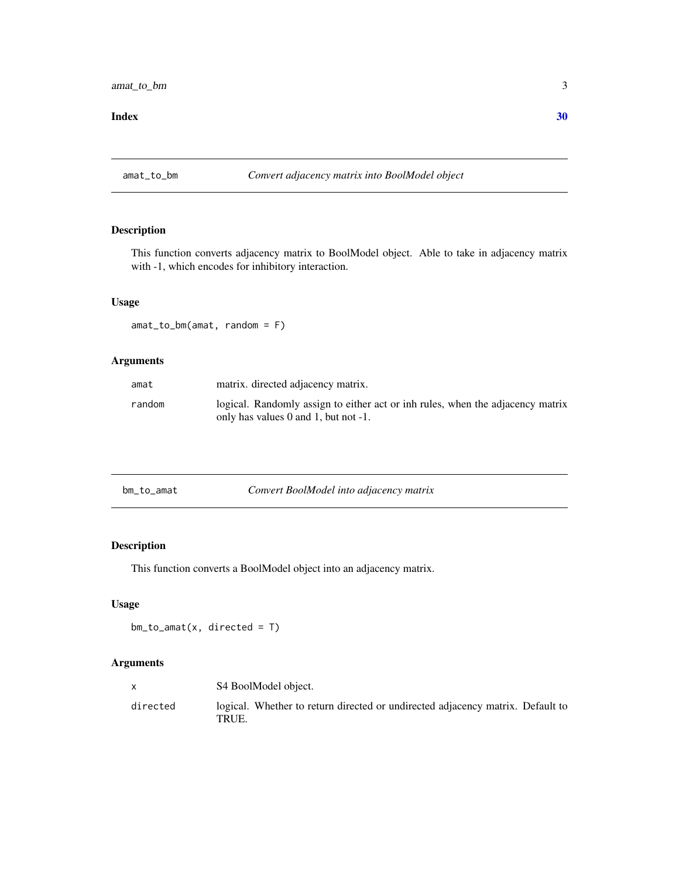#### <span id="page-2-0"></span> $\bf 30$  $\bf 30$

amat\_to\_bm *Convert adjacency matrix into BoolModel object*

## Description

This function converts adjacency matrix to BoolModel object. Able to take in adjacency matrix with -1, which encodes for inhibitory interaction.

## Usage

amat\_to\_bm(amat, random = F)

#### Arguments

| amat   | matrix. directed adjacency matrix.                                                                                     |
|--------|------------------------------------------------------------------------------------------------------------------------|
| random | logical. Randomly assign to either act or inh rules, when the adjacency matrix<br>only has values 0 and 1, but not -1. |

| Convert BoolModel into adjacency matrix<br>bm_to_amat |
|-------------------------------------------------------|
|-------------------------------------------------------|

## Description

This function converts a BoolModel object into an adjacency matrix.

#### Usage

```
bm\_to\_amat(x, directed = T)
```

|          | S4 BoolModel object.                                                                    |
|----------|-----------------------------------------------------------------------------------------|
| directed | logical. Whether to return directed or undirected adjacency matrix. Default to<br>TRUE. |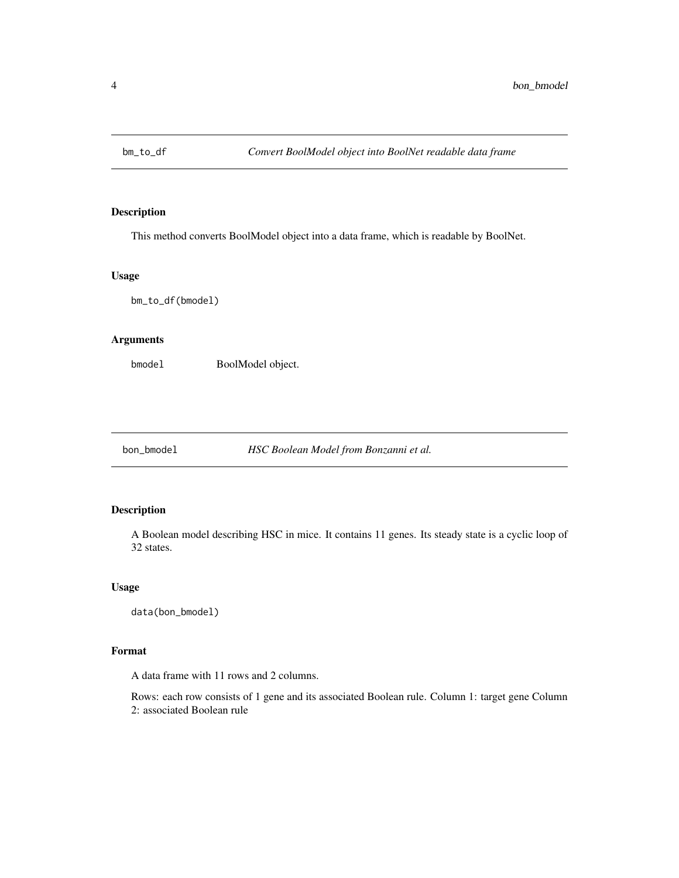<span id="page-3-0"></span>

This method converts BoolModel object into a data frame, which is readable by BoolNet.

#### Usage

bm\_to\_df(bmodel)

## Arguments

bmodel BoolModel object.

bon\_bmodel *HSC Boolean Model from Bonzanni et al.*

## Description

A Boolean model describing HSC in mice. It contains 11 genes. Its steady state is a cyclic loop of 32 states.

#### Usage

data(bon\_bmodel)

#### Format

A data frame with 11 rows and 2 columns.

Rows: each row consists of 1 gene and its associated Boolean rule. Column 1: target gene Column 2: associated Boolean rule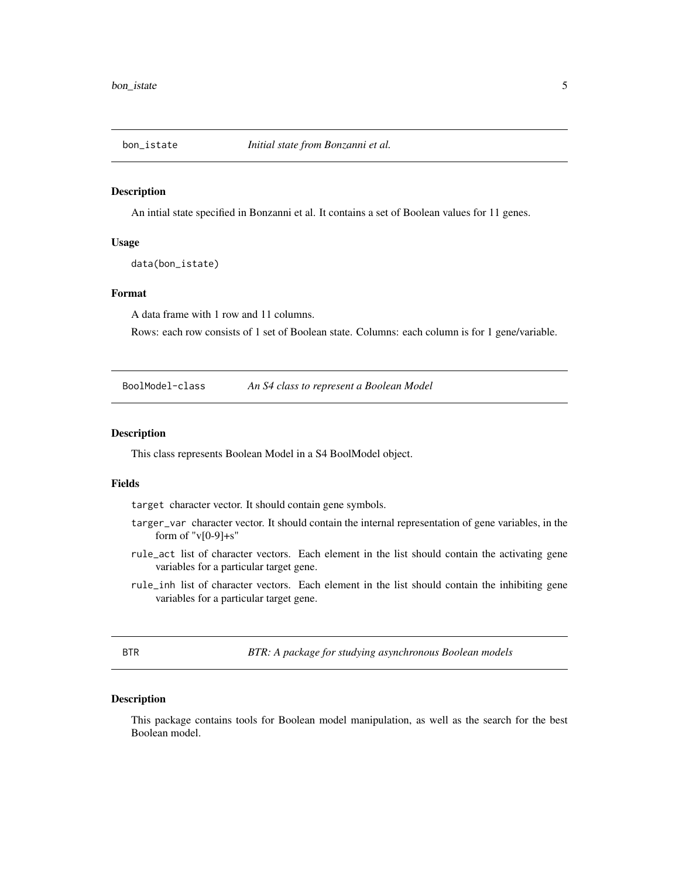<span id="page-4-0"></span>

An intial state specified in Bonzanni et al. It contains a set of Boolean values for 11 genes.

#### Usage

data(bon\_istate)

## Format

A data frame with 1 row and 11 columns.

Rows: each row consists of 1 set of Boolean state. Columns: each column is for 1 gene/variable.

BoolModel-class *An S4 class to represent a Boolean Model*

#### Description

This class represents Boolean Model in a S4 BoolModel object.

#### Fields

target character vector. It should contain gene symbols.

- targer\_var character vector. It should contain the internal representation of gene variables, in the form of " $v[0-9]+s$ "
- rule\_act list of character vectors. Each element in the list should contain the activating gene variables for a particular target gene.
- rule\_inh list of character vectors. Each element in the list should contain the inhibiting gene variables for a particular target gene.

| ÷ |  |
|---|--|
| I |  |

BTR *BTR: A package for studying asynchronous Boolean models*

#### Description

This package contains tools for Boolean model manipulation, as well as the search for the best Boolean model.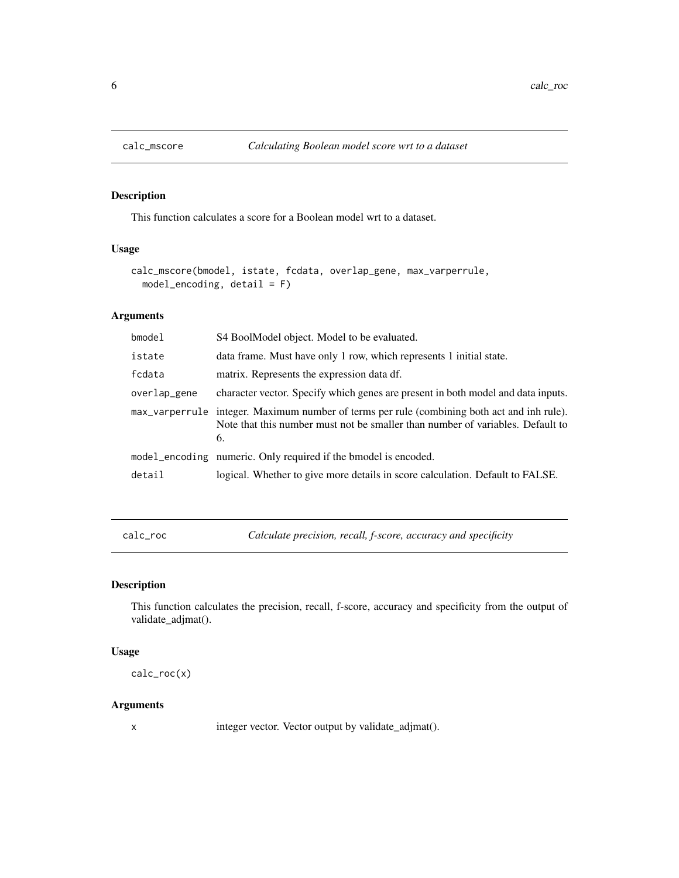<span id="page-5-0"></span>

This function calculates a score for a Boolean model wrt to a dataset.

## Usage

```
calc_mscore(bmodel, istate, fcdata, overlap_gene, max_varperrule,
 model\_encoding, detail = F)
```
## Arguments

| bmodel       | S4 BoolModel object. Model to be evaluated.                                                                                                                                         |
|--------------|-------------------------------------------------------------------------------------------------------------------------------------------------------------------------------------|
| istate       | data frame. Must have only 1 row, which represents 1 initial state.                                                                                                                 |
| fcdata       | matrix. Represents the expression data df.                                                                                                                                          |
| overlap_gene | character vector. Specify which genes are present in both model and data inputs.                                                                                                    |
|              | max_varperrule integer. Maximum number of terms per rule (combining both act and inh rule).<br>Note that this number must not be smaller than number of variables. Default to<br>6. |
|              | model_encoding numeric. Only required if the bmodel is encoded.                                                                                                                     |
| detail       | logical. Whether to give more details in score calculation. Default to FALSE.                                                                                                       |

calc\_roc *Calculate precision, recall, f-score, accuracy and specificity*

## Description

This function calculates the precision, recall, f-score, accuracy and specificity from the output of validate\_adjmat().

#### Usage

calc\_roc(x)

#### Arguments

x integer vector. Vector output by validate\_adjmat().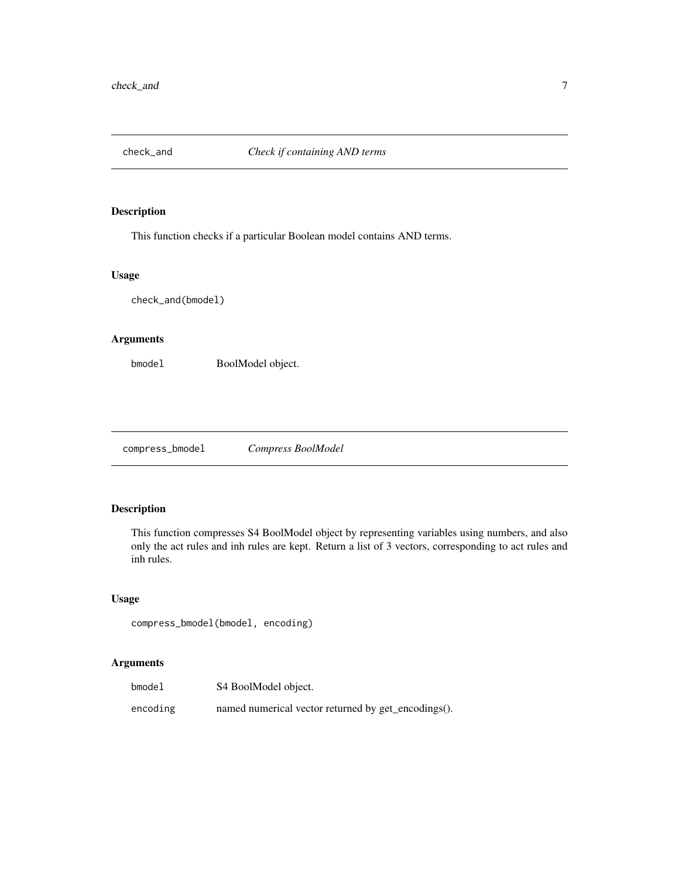<span id="page-6-0"></span>

This function checks if a particular Boolean model contains AND terms.

#### Usage

check\_and(bmodel)

## Arguments

bmodel BoolModel object.

compress\_bmodel *Compress BoolModel*

## Description

This function compresses S4 BoolModel object by representing variables using numbers, and also only the act rules and inh rules are kept. Return a list of 3 vectors, corresponding to act rules and inh rules.

## Usage

compress\_bmodel(bmodel, encoding)

| $b$ model | S4 BoolModel object.                                |
|-----------|-----------------------------------------------------|
| encoding  | named numerical vector returned by get_encodings(). |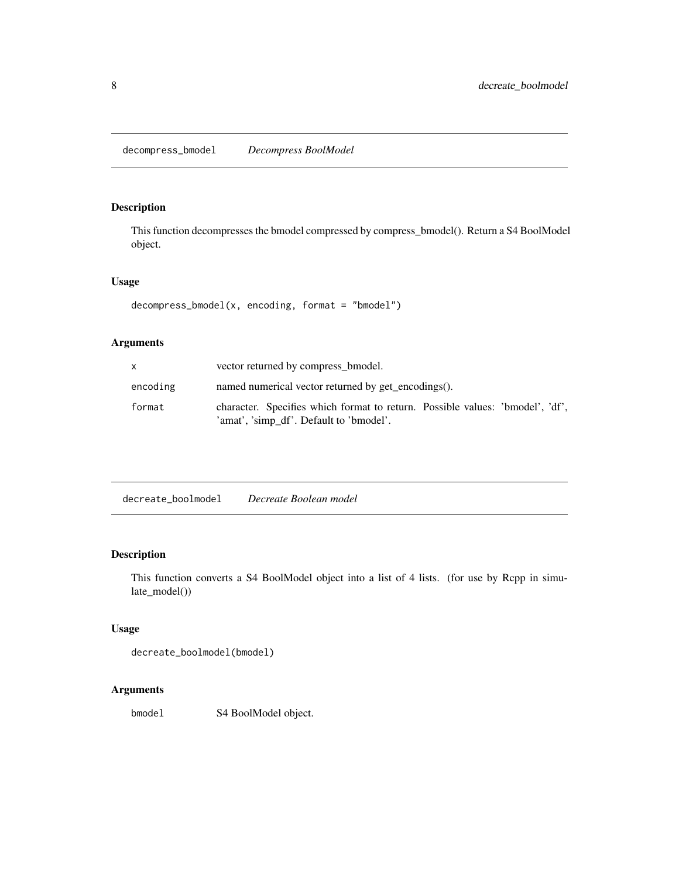<span id="page-7-0"></span>This function decompresses the bmodel compressed by compress\_bmodel(). Return a S4 BoolModel object.

## Usage

```
decompress_bmodel(x, encoding, format = "bmodel")
```
## Arguments

|          | vector returned by compress b model.                                                                                     |
|----------|--------------------------------------------------------------------------------------------------------------------------|
| encoding | named numerical vector returned by get_encodings().                                                                      |
| format   | character. Specifies which format to return. Possible values: 'bmodel', 'df',<br>'amat', 'simp df'. Default to 'bmodel'. |

| decreate_boolmodel | Decreate Boolean model |
|--------------------|------------------------|
|--------------------|------------------------|

## Description

This function converts a S4 BoolModel object into a list of 4 lists. (for use by Rcpp in simulate\_model())

## Usage

decreate\_boolmodel(bmodel)

## Arguments

bmodel S4 BoolModel object.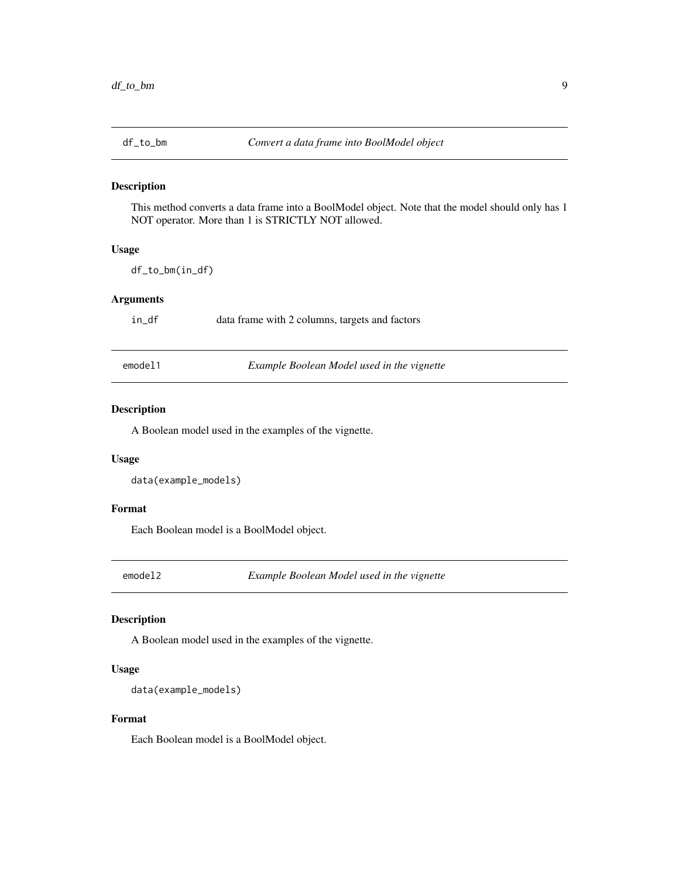<span id="page-8-0"></span>

This method converts a data frame into a BoolModel object. Note that the model should only has 1 NOT operator. More than 1 is STRICTLY NOT allowed.

## Usage

df\_to\_bm(in\_df)

## Arguments

in\_df data frame with 2 columns, targets and factors

emodel1 *Example Boolean Model used in the vignette*

## Description

A Boolean model used in the examples of the vignette.

#### Usage

data(example\_models)

#### Format

Each Boolean model is a BoolModel object.

emodel2 *Example Boolean Model used in the vignette*

#### Description

A Boolean model used in the examples of the vignette.

#### Usage

```
data(example_models)
```
### Format

Each Boolean model is a BoolModel object.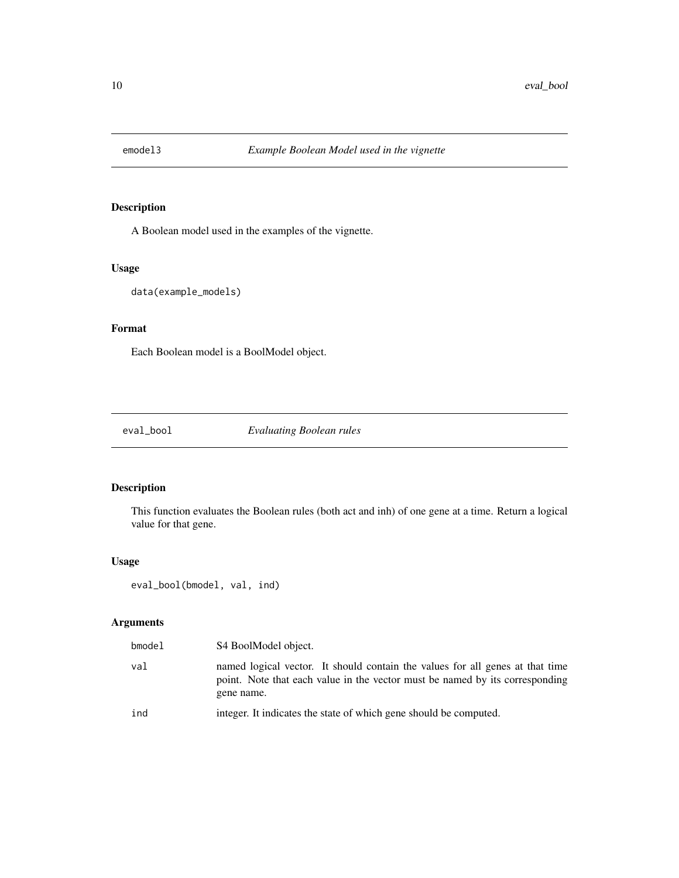<span id="page-9-0"></span>

A Boolean model used in the examples of the vignette.

## Usage

```
data(example_models)
```
## Format

Each Boolean model is a BoolModel object.

eval\_bool *Evaluating Boolean rules*

## Description

This function evaluates the Boolean rules (both act and inh) of one gene at a time. Return a logical value for that gene.

## Usage

```
eval_bool(bmodel, val, ind)
```

| bmodel | S4 BoolModel object.                                                                                                                                                        |
|--------|-----------------------------------------------------------------------------------------------------------------------------------------------------------------------------|
| val    | named logical vector. It should contain the values for all genes at that time<br>point. Note that each value in the vector must be named by its corresponding<br>gene name. |
| ind    | integer. It indicates the state of which gene should be computed.                                                                                                           |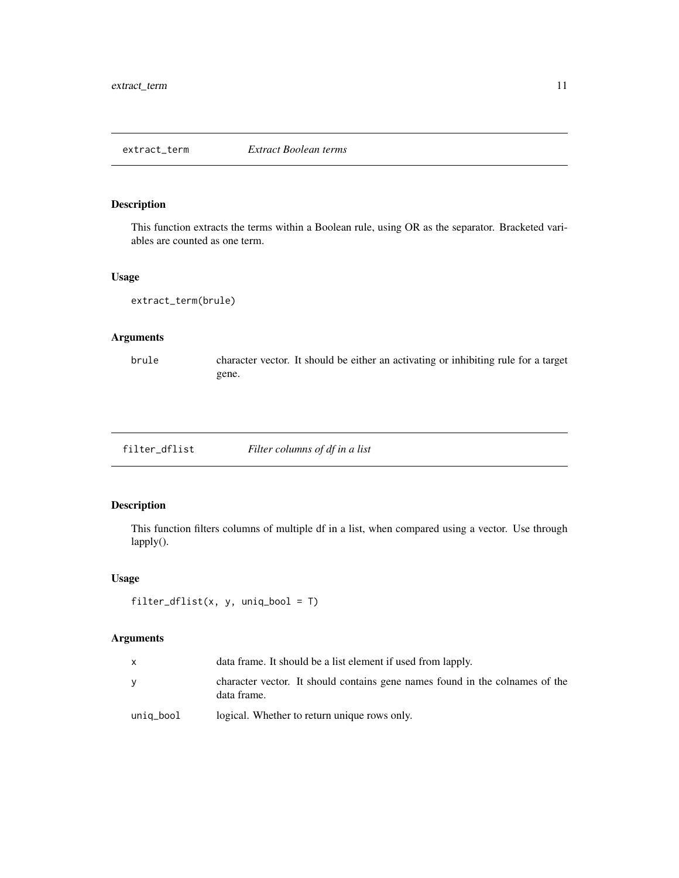<span id="page-10-0"></span>This function extracts the terms within a Boolean rule, using OR as the separator. Bracketed variables are counted as one term.

#### Usage

extract\_term(brule)

## Arguments

brule character vector. It should be either an activating or inhibiting rule for a target gene.

filter\_dflist *Filter columns of df in a list*

## Description

This function filters columns of multiple df in a list, when compared using a vector. Use through lapply().

## Usage

```
filter_dflist(x, y, uniq_bool = T)
```

|           | data frame. It should be a list element if used from lapply.                                |  |
|-----------|---------------------------------------------------------------------------------------------|--|
|           | character vector. It should contains gene names found in the colnames of the<br>data frame. |  |
| uniq_bool | logical. Whether to return unique rows only.                                                |  |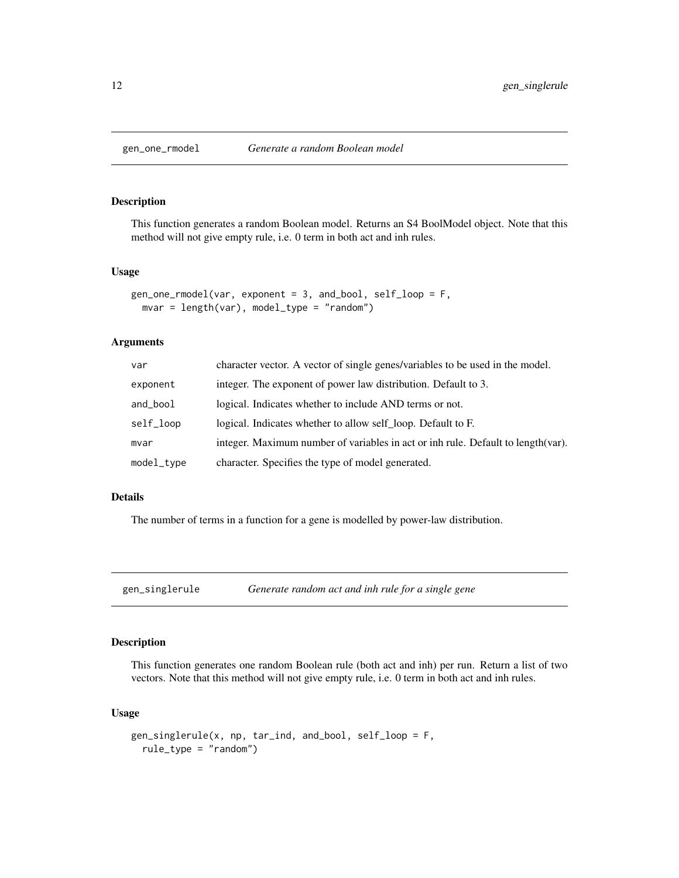<span id="page-11-0"></span>

This function generates a random Boolean model. Returns an S4 BoolModel object. Note that this method will not give empty rule, i.e. 0 term in both act and inh rules.

#### Usage

```
gen_one_rmodel(var, exponent = 3, and_bool, self_loop = F,
 mvar = length(var), model_type = "random")
```
## Arguments

| var        | character vector. A vector of single genes/variables to be used in the model.     |  |
|------------|-----------------------------------------------------------------------------------|--|
| exponent   | integer. The exponent of power law distribution. Default to 3.                    |  |
| and_bool   | logical. Indicates whether to include AND terms or not.                           |  |
| self_loop  | logical. Indicates whether to allow self loop. Default to F.                      |  |
| mvar       | integer. Maximum number of variables in act or inh rule. Default to length (var). |  |
| model_type | character. Specifies the type of model generated.                                 |  |

#### Details

The number of terms in a function for a gene is modelled by power-law distribution.

gen\_singlerule *Generate random act and inh rule for a single gene*

## Description

This function generates one random Boolean rule (both act and inh) per run. Return a list of two vectors. Note that this method will not give empty rule, i.e. 0 term in both act and inh rules.

#### Usage

```
gen_singlerule(x, np, tar_ind, and_bool, self_loop = F,
  rule_type = "random")
```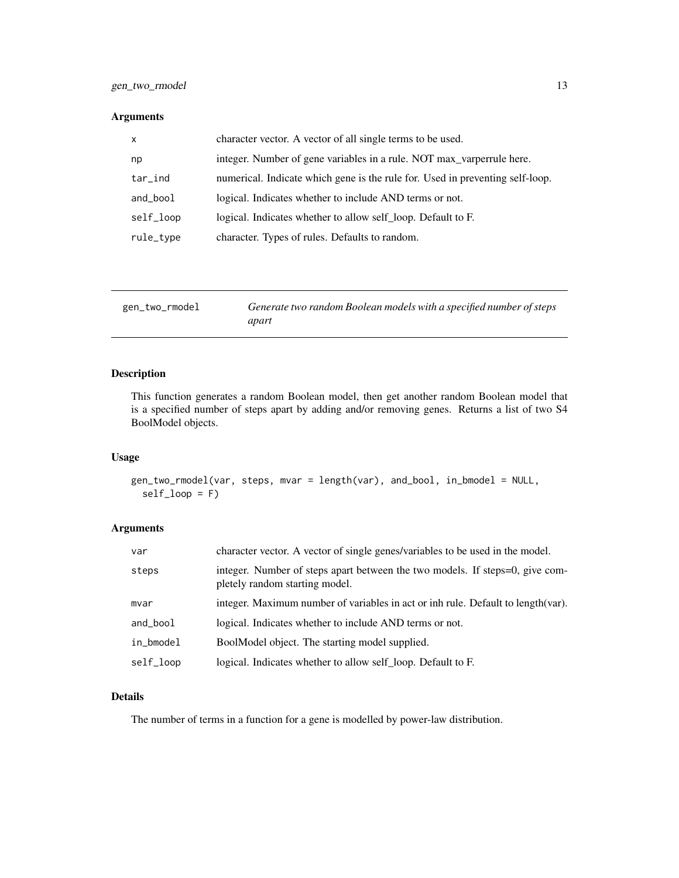### <span id="page-12-0"></span>Arguments

| $\mathsf{x}$                                                | character vector. A vector of all single terms to be used.                    |  |
|-------------------------------------------------------------|-------------------------------------------------------------------------------|--|
| np                                                          | integer. Number of gene variables in a rule. NOT max_varperrule here.         |  |
| $tar$ <sub>-ind</sub>                                       | numerical. Indicate which gene is the rule for. Used in preventing self-loop. |  |
| and_bool                                                    | logical. Indicates whether to include AND terms or not.                       |  |
| self_loop                                                   | logical. Indicates whether to allow self loop. Default to F.                  |  |
| character. Types of rules. Defaults to random.<br>rule_type |                                                                               |  |

| gen_two_rmodel | Generate two random Boolean models with a specified number of steps |
|----------------|---------------------------------------------------------------------|
|                | apart                                                               |

## Description

This function generates a random Boolean model, then get another random Boolean model that is a specified number of steps apart by adding and/or removing genes. Returns a list of two S4 BoolModel objects.

#### Usage

```
gen_two_rmodel(var, steps, mvar = length(var), and_bool, in_bmodel = NULL,
  self_loop = F)
```
## Arguments

| var       | character vector. A vector of single genes/variables to be used in the model.                                  |  |
|-----------|----------------------------------------------------------------------------------------------------------------|--|
| steps     | integer. Number of steps apart between the two models. If steps=0, give com-<br>pletely random starting model. |  |
| mvar      | integer. Maximum number of variables in act or inh rule. Default to length (var).                              |  |
| and_bool  | logical. Indicates whether to include AND terms or not.                                                        |  |
| in_bmodel | BoolModel object. The starting model supplied.                                                                 |  |
| self_loop | logical. Indicates whether to allow self loop. Default to F.                                                   |  |

#### Details

The number of terms in a function for a gene is modelled by power-law distribution.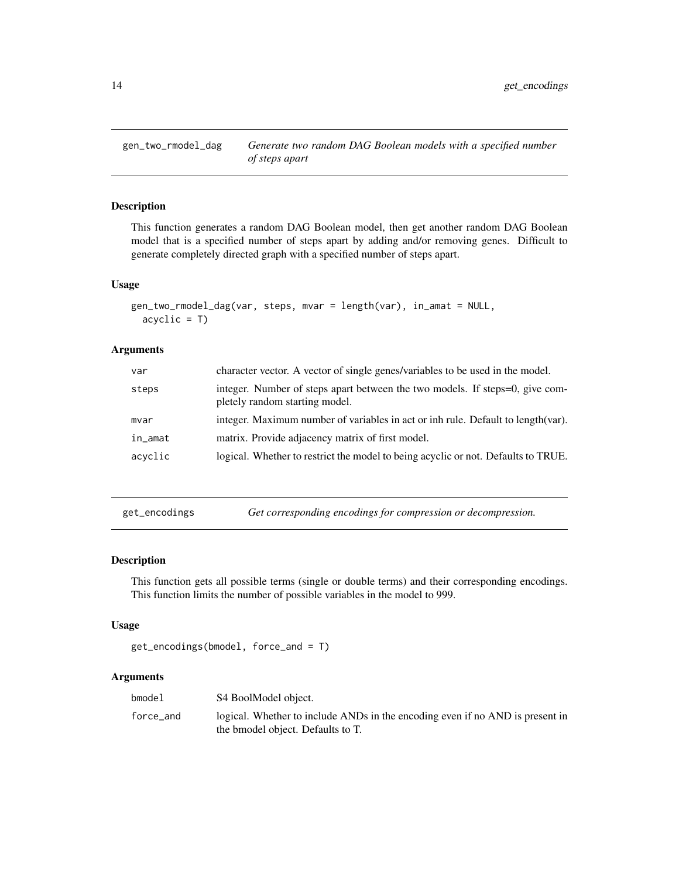<span id="page-13-0"></span>gen\_two\_rmodel\_dag *Generate two random DAG Boolean models with a specified number of steps apart*

#### Description

This function generates a random DAG Boolean model, then get another random DAG Boolean model that is a specified number of steps apart by adding and/or removing genes. Difficult to generate completely directed graph with a specified number of steps apart.

#### Usage

```
gen_two_rmodel_dag(var, steps, mvar = length(var), in_amat = NULL,
  acyclic = T
```
## Arguments

| var     | character vector. A vector of single genes/variables to be used in the model.                                  |  |
|---------|----------------------------------------------------------------------------------------------------------------|--|
| steps   | integer. Number of steps apart between the two models. If steps=0, give com-<br>pletely random starting model. |  |
| mvar    | integer. Maximum number of variables in act or inh rule. Default to length (var).                              |  |
| in_amat | matrix. Provide adjacency matrix of first model.                                                               |  |
| acyclic | logical. Whether to restrict the model to being acyclic or not. Defaults to TRUE.                              |  |
|         |                                                                                                                |  |

get\_encodings *Get corresponding encodings for compression or decompression.*

## Description

This function gets all possible terms (single or double terms) and their corresponding encodings. This function limits the number of possible variables in the model to 999.

#### Usage

```
get_encodings(bmodel, force_and = T)
```

| bmodel    | S4 BoolModel object.                                                                                               |
|-----------|--------------------------------------------------------------------------------------------------------------------|
| force_and | logical. Whether to include ANDs in the encoding even if no AND is present in<br>the bmodel object. Defaults to T. |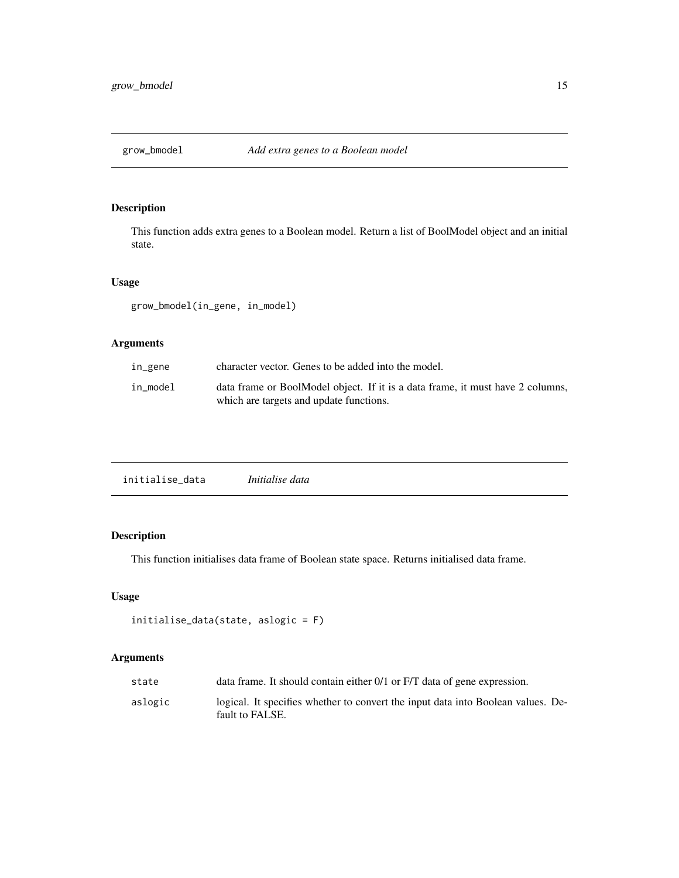<span id="page-14-0"></span>

This function adds extra genes to a Boolean model. Return a list of BoolModel object and an initial state.

#### Usage

grow\_bmodel(in\_gene, in\_model)

## Arguments

| in_gene  | character vector. Genes to be added into the model.                                                                       |  |
|----------|---------------------------------------------------------------------------------------------------------------------------|--|
| in model | data frame or BoolModel object. If it is a data frame, it must have 2 columns,<br>which are targets and update functions. |  |

## Description

This function initialises data frame of Boolean state space. Returns initialised data frame.

## Usage

```
initialise_data(state, aslogic = F)
```

| state   | data frame. It should contain either 0/1 or F/T data of gene expression.                            |  |
|---------|-----------------------------------------------------------------------------------------------------|--|
| aslogic | logical. It specifies whether to convert the input data into Boolean values. De-<br>fault to FALSE. |  |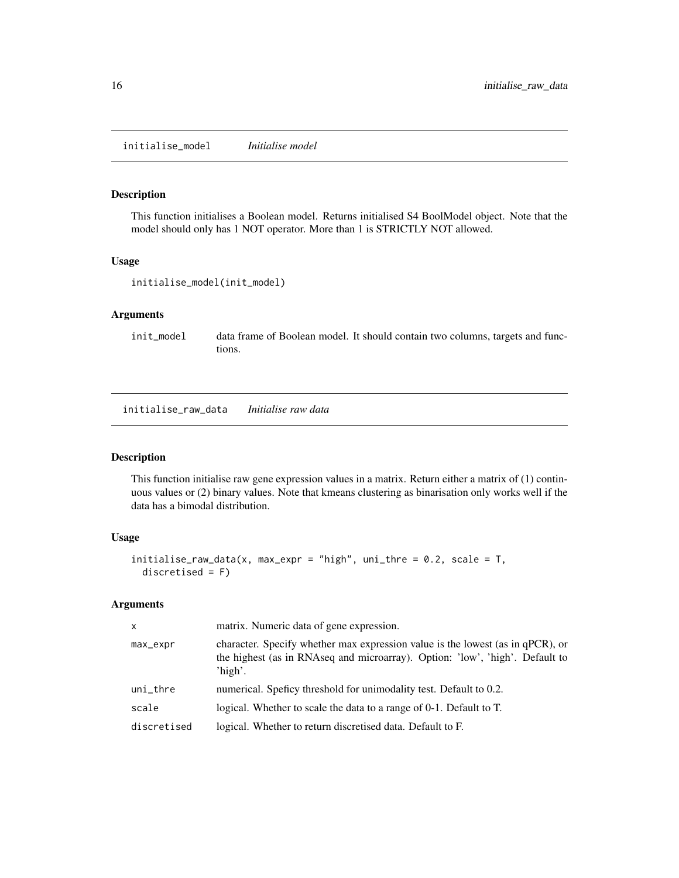<span id="page-15-0"></span>initialise\_model *Initialise model*

## Description

This function initialises a Boolean model. Returns initialised S4 BoolModel object. Note that the model should only has 1 NOT operator. More than 1 is STRICTLY NOT allowed.

#### Usage

```
initialise_model(init_model)
```
## Arguments

init\_model data frame of Boolean model. It should contain two columns, targets and functions.

initialise\_raw\_data *Initialise raw data*

#### Description

This function initialise raw gene expression values in a matrix. Return either a matrix of (1) continuous values or (2) binary values. Note that kmeans clustering as binarisation only works well if the data has a bimodal distribution.

## Usage

```
initialise_{\text{max\_data}(x, max_{\text{expr}} = "high", unit_{\text{thre}} = 0.2, scale = T,discretised = F)
```

| $\mathsf{x}$  | matrix. Numeric data of gene expression.                                                                                                                                  |  |
|---------------|---------------------------------------------------------------------------------------------------------------------------------------------------------------------------|--|
| max_expr      | character. Specify whether max expression value is the lowest (as in qPCR), or<br>the highest (as in RNAseq and microarray). Option: 'low', 'high'. Default to<br>'high'. |  |
| $uni_{th}$ re | numerical. Speficy threshold for unimodality test. Default to 0.2.                                                                                                        |  |
| scale         | logical. Whether to scale the data to a range of 0-1. Default to T.                                                                                                       |  |
| discretised   | logical. Whether to return discretised data. Default to F.                                                                                                                |  |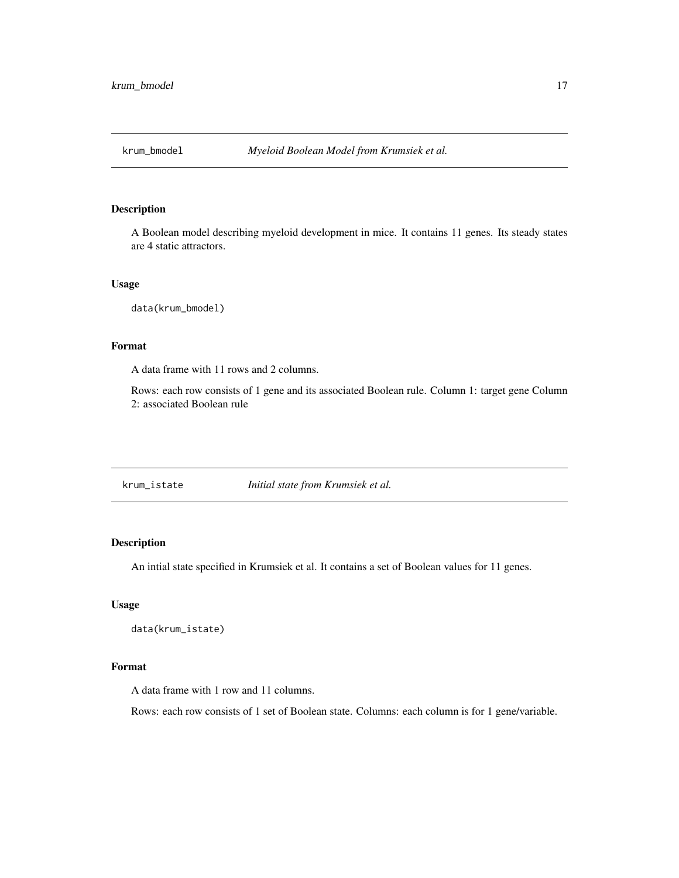<span id="page-16-0"></span>

A Boolean model describing myeloid development in mice. It contains 11 genes. Its steady states are 4 static attractors.

#### Usage

data(krum\_bmodel)

## Format

A data frame with 11 rows and 2 columns.

Rows: each row consists of 1 gene and its associated Boolean rule. Column 1: target gene Column 2: associated Boolean rule

krum\_istate *Initial state from Krumsiek et al.*

## Description

An intial state specified in Krumsiek et al. It contains a set of Boolean values for 11 genes.

#### Usage

```
data(krum_istate)
```
#### Format

A data frame with 1 row and 11 columns.

Rows: each row consists of 1 set of Boolean state. Columns: each column is for 1 gene/variable.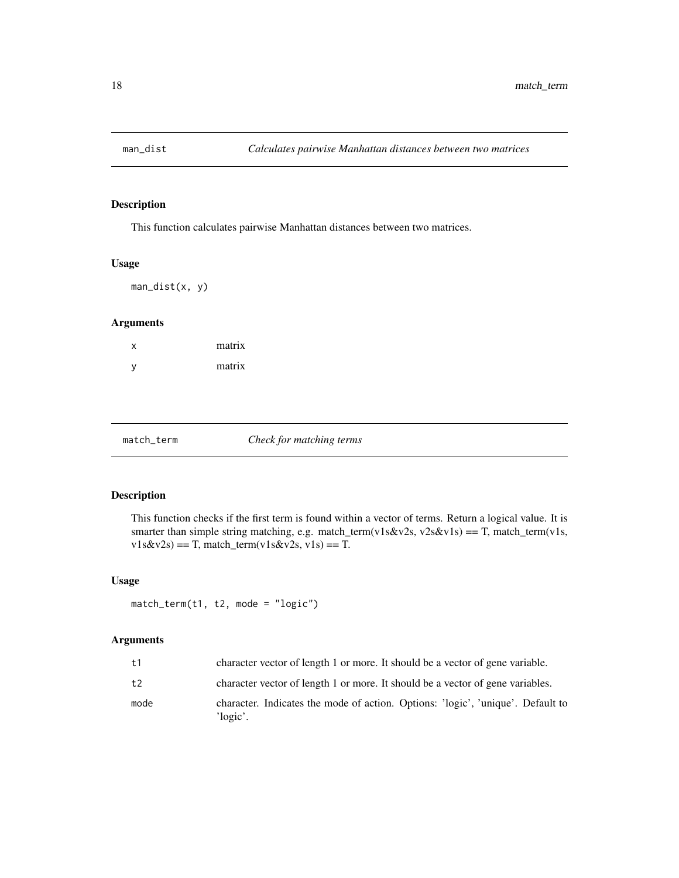<span id="page-17-0"></span>

This function calculates pairwise Manhattan distances between two matrices.

#### Usage

man\_dist(x, y)

## Arguments

| x | matrix |
|---|--------|
| у | matrix |

#### match\_term *Check for matching terms*

#### Description

This function checks if the first term is found within a vector of terms. Return a logical value. It is smarter than simple string matching, e.g. match\_term(v1s&v2s, v2s&v1s) == T, match\_term(v1s,  $v1s&v2s$  = T, match\_term(v1s  $&v2s$ , v1s) = T.

#### Usage

```
match_term(t1, t2, mode = "logic")
```

| t1   | character vector of length 1 or more. It should be a vector of gene variable.                       |
|------|-----------------------------------------------------------------------------------------------------|
| t2   | character vector of length 1 or more. It should be a vector of gene variables.                      |
| mode | character. Indicates the mode of action. Options: 'logic', 'unique'. Default to<br>$\gamma$ logic'. |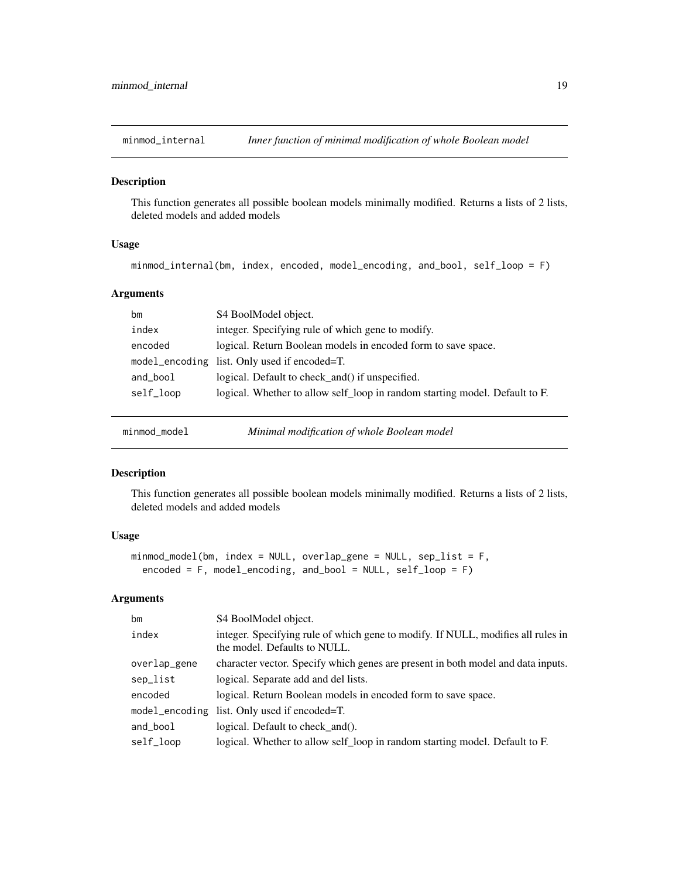<span id="page-18-0"></span>

This function generates all possible boolean models minimally modified. Returns a lists of 2 lists, deleted models and added models

## Usage

minmod\_internal(bm, index, encoded, model\_encoding, and\_bool, self\_loop = F)

## Arguments

| bm        | S4 BoolModel object.                                                        |
|-----------|-----------------------------------------------------------------------------|
| index     | integer. Specifying rule of which gene to modify.                           |
| encoded   | logical. Return Boolean models in encoded form to save space.               |
|           | model_encoding list. Only used if encoded=T.                                |
| and_bool  | logical. Default to check_and() if unspecified.                             |
| self_loop | logical. Whether to allow self_loop in random starting model. Default to F. |
|           |                                                                             |

minmod\_model *Minimal modification of whole Boolean model*

### Description

This function generates all possible boolean models minimally modified. Returns a lists of 2 lists, deleted models and added models

## Usage

```
minmod_model(bm, index = NULL, overlap_gene = NULL, sep_list = F,
  encoded = F, model_encoding, and_bool = NULL, self_loop = F)
```

| bm           | S4 BoolModel object.                                                                                             |
|--------------|------------------------------------------------------------------------------------------------------------------|
| index        | integer. Specifying rule of which gene to modify. If NULL, modifies all rules in<br>the model. Defaults to NULL. |
| overlap_gene | character vector. Specify which genes are present in both model and data inputs.                                 |
| sep_list     | logical. Separate add and del lists.                                                                             |
| encoded      | logical. Return Boolean models in encoded form to save space.                                                    |
|              | model_encoding list. Only used if encoded=T.                                                                     |
| and_bool     | logical. Default to check and ().                                                                                |
| self_loop    | logical. Whether to allow self_loop in random starting model. Default to F.                                      |
|              |                                                                                                                  |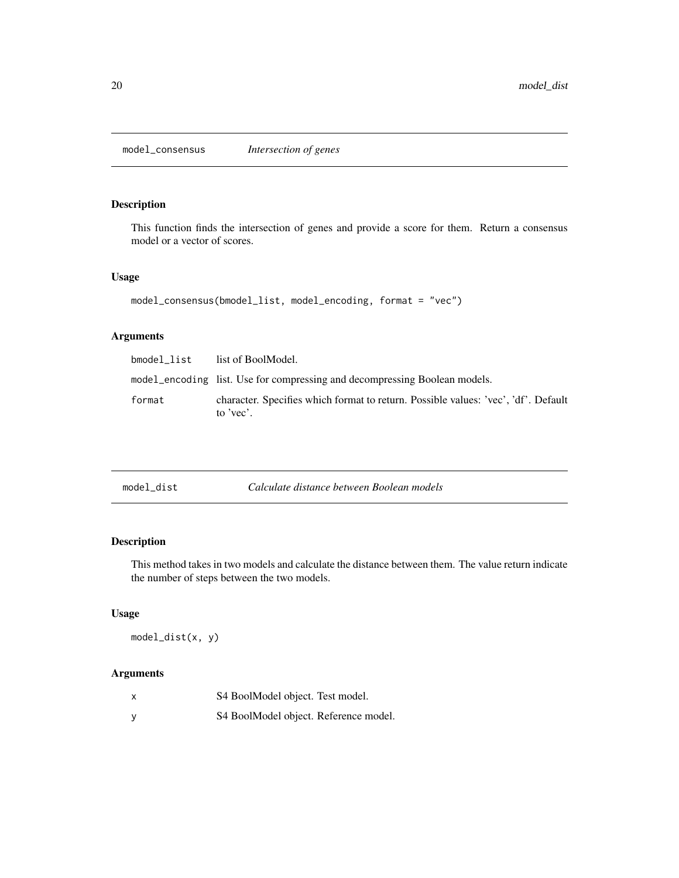<span id="page-19-0"></span>model\_consensus *Intersection of genes*

## Description

This function finds the intersection of genes and provide a score for them. Return a consensus model or a vector of scores.

#### Usage

```
model_consensus(bmodel_list, model_encoding, format = "vec")
```
## Arguments

| bmodel list | list of BoolModel.                                                                              |
|-------------|-------------------------------------------------------------------------------------------------|
|             | model_encoding list. Use for compressing and decompressing Boolean models.                      |
| format      | character. Specifies which format to return. Possible values: 'vec', 'df'. Default<br>to 'vec'. |

| model dist | Calculate distance between Boolean models |
|------------|-------------------------------------------|
|------------|-------------------------------------------|

## Description

This method takes in two models and calculate the distance between them. The value return indicate the number of steps between the two models.

## Usage

model\_dist(x, y)

| X | S4 BoolModel object. Test model.      |
|---|---------------------------------------|
| v | S4 BoolModel object. Reference model. |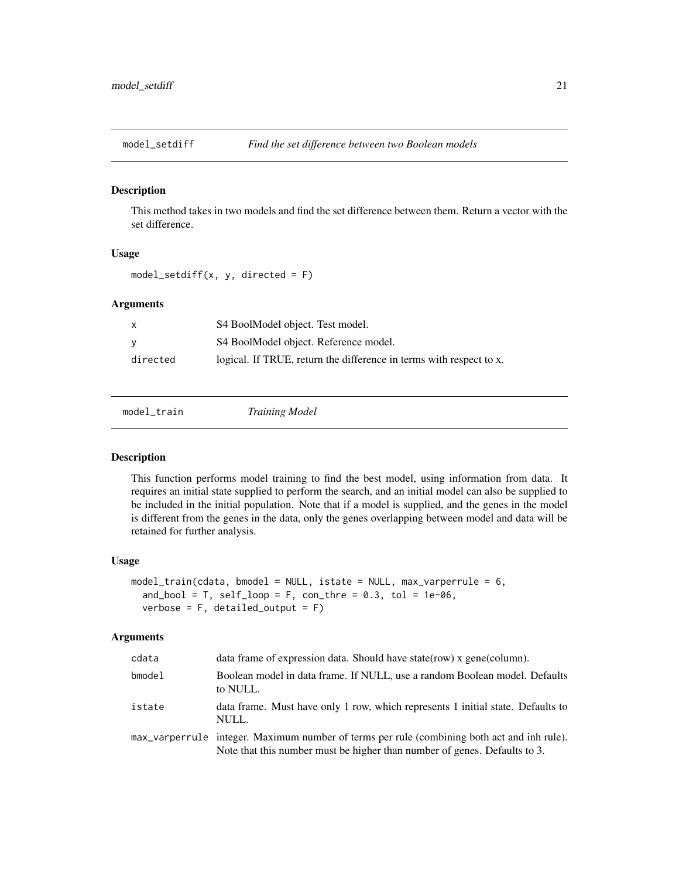<span id="page-20-0"></span>

This method takes in two models and find the set difference between them. Return a vector with the set difference.

#### Usage

 $model_setdiff(x, y, directed = F)$ 

## Arguments

|          | S4 BoolModel object. Test model.                                    |
|----------|---------------------------------------------------------------------|
|          | S4 BoolModel object. Reference model.                               |
| directed | logical. If TRUE, return the difference in terms with respect to x. |

model\_train *Training Model*

#### Description

This function performs model training to find the best model, using information from data. It requires an initial state supplied to perform the search, and an initial model can also be supplied to be included in the initial population. Note that if a model is supplied, and the genes in the model is different from the genes in the data, only the genes overlapping between model and data will be retained for further analysis.

#### Usage

```
model_train(cdata, bmodel = NULL, istate = NULL, max_varperrule = 6,
  and_bool = T, self_loop = F, con_thre = 0.3, tol = 1e-06,
  verbose = F, detailed_output = F)
```

| cdata  | data frame of expression data. Should have state (row) x gene (column).                                                                                                  |
|--------|--------------------------------------------------------------------------------------------------------------------------------------------------------------------------|
| bmodel | Boolean model in data frame. If NULL, use a random Boolean model. Defaults<br>to NULL.                                                                                   |
| istate | data frame. Must have only 1 row, which represents 1 initial state. Defaults to<br>NULL.                                                                                 |
|        | max_varperrule integer. Maximum number of terms per rule (combining both act and inh rule).<br>Note that this number must be higher than number of genes. Defaults to 3. |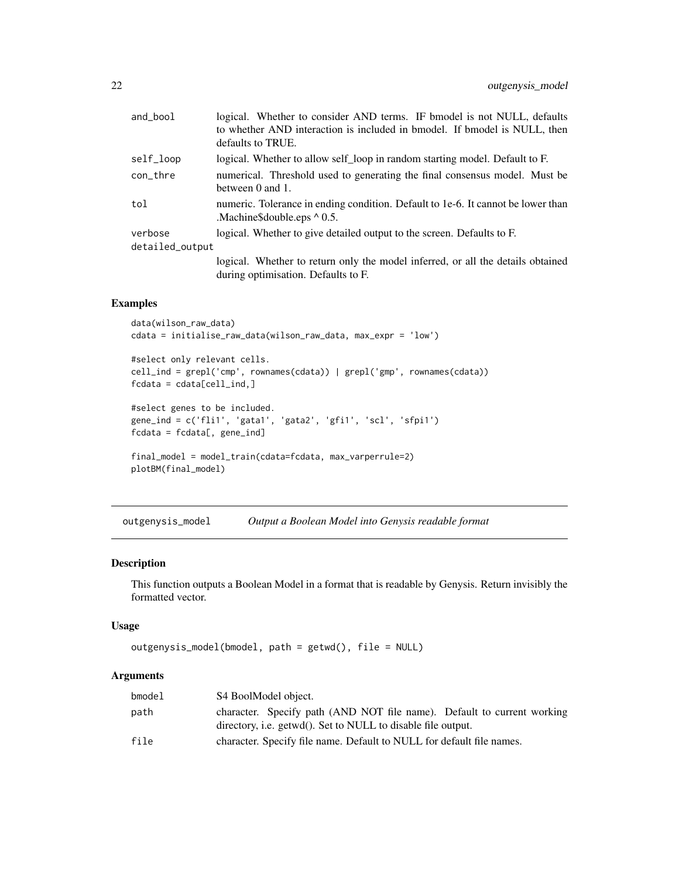<span id="page-21-0"></span>

| and_bool        | logical. Whether to consider AND terms. IF bmodel is not NULL, defaults                                                |
|-----------------|------------------------------------------------------------------------------------------------------------------------|
|                 | to whether AND interaction is included in bmodel. If bmodel is NULL, then                                              |
|                 | defaults to TRUE.                                                                                                      |
| self_loop       | logical. Whether to allow self_loop in random starting model. Default to F.                                            |
| con_thre        | numerical. Threshold used to generating the final consensus model. Must be<br>between $0$ and $1$ .                    |
| tol             | numeric. Tolerance in ending condition. Default to 1e-6. It cannot be lower than<br>.Machine Sdouble.eps $\wedge$ 0.5. |
| verbose         | logical. Whether to give detailed output to the screen. Defaults to F.                                                 |
| detailed_output |                                                                                                                        |
|                 | logical. Whether to return only the model inferred, or all the details obtained                                        |
|                 | during optimisation. Defaults to F.                                                                                    |

## Examples

```
data(wilson_raw_data)
cdata = initialise_raw_data(wilson_raw_data, max_expr = 'low')
#select only relevant cells.
cell_ind = grepl('cmp', rownames(cdata)) | grepl('gmp', rownames(cdata))
fcdata = cdata[cell_ind,]
#select genes to be included.
gene_ind = c('fli1', 'gata1', 'gata2', 'gfi1', 'scl', 'sfpi1')
fcdata = fcdata[, gene\_ind]final_model = model_train(cdata=fcdata, max_varperrule=2)
plotBM(final_model)
```
outgenysis\_model *Output a Boolean Model into Genysis readable format*

#### Description

This function outputs a Boolean Model in a format that is readable by Genysis. Return invisibly the formatted vector.

#### Usage

```
outgenysis_model(bmodel, path = getwd(), file = NULL)
```

| bmodel | S4 BoolModel object.                                                    |
|--------|-------------------------------------------------------------------------|
| path   | character. Specify path (AND NOT file name). Default to current working |
|        | directory, i.e. getwd(). Set to NULL to disable file output.            |
| file   | character. Specify file name. Default to NULL for default file names.   |
|        |                                                                         |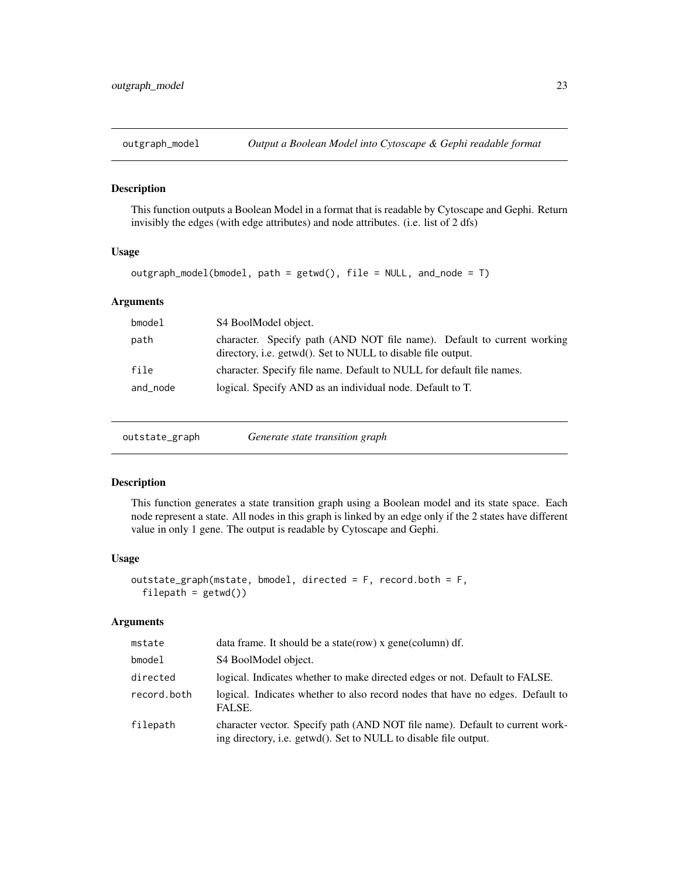<span id="page-22-0"></span>

This function outputs a Boolean Model in a format that is readable by Cytoscape and Gephi. Return invisibly the edges (with edge attributes) and node attributes. (i.e. list of 2 dfs)

#### Usage

```
outgraph_model(bmodel, path = getwd(), file = NULL, and_node = T)
```
## Arguments

| bmodel   | S4 BoolModel object.                                                                                                                    |
|----------|-----------------------------------------------------------------------------------------------------------------------------------------|
| path     | character. Specify path (AND NOT file name). Default to current working<br>directory, i.e. getwd(). Set to NULL to disable file output. |
| file     | character. Specify file name. Default to NULL for default file names.                                                                   |
| and_node | logical. Specify AND as an individual node. Default to T.                                                                               |

| outstate_graph | Generate state transition graph |  |
|----------------|---------------------------------|--|
|----------------|---------------------------------|--|

## Description

This function generates a state transition graph using a Boolean model and its state space. Each node represent a state. All nodes in this graph is linked by an edge only if the 2 states have different value in only 1 gene. The output is readable by Cytoscape and Gephi.

#### Usage

```
outstate_graph(mstate, bmodel, directed = F, record.both = F,
  filepath = getwd()
```

| mstate      | data frame. It should be a state (row) x gene (column) df.                                                                                       |
|-------------|--------------------------------------------------------------------------------------------------------------------------------------------------|
| $b$ model   | S4 BoolModel object.                                                                                                                             |
| directed    | logical. Indicates whether to make directed edges or not. Default to FALSE.                                                                      |
| record.both | logical. Indicates whether to also record nodes that have no edges. Default to<br>FALSE.                                                         |
| filepath    | character vector. Specify path (AND NOT file name). Default to current work-<br>ing directory, i.e. getwd(). Set to NULL to disable file output. |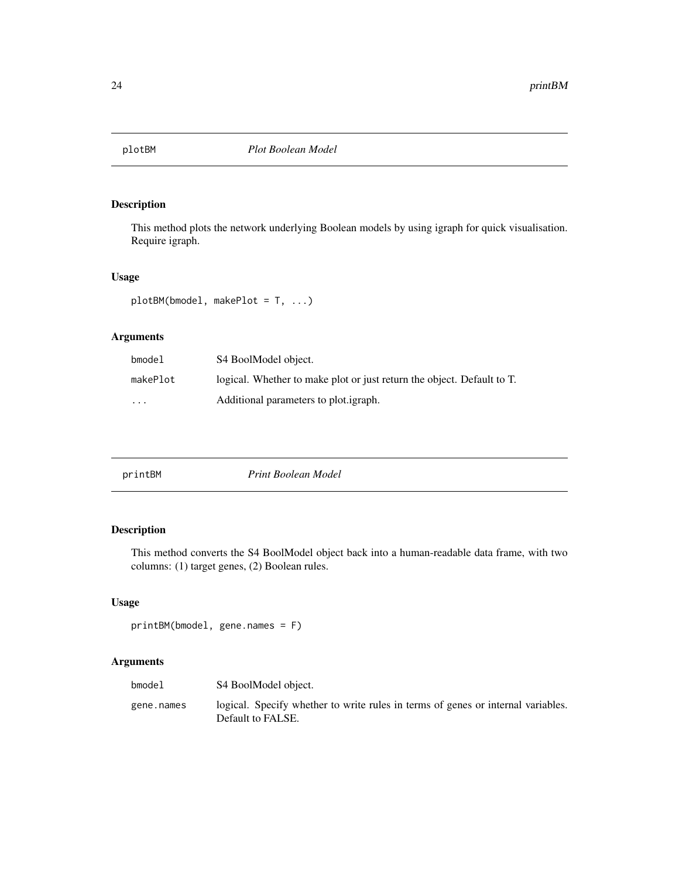<span id="page-23-0"></span>

This method plots the network underlying Boolean models by using igraph for quick visualisation. Require igraph.

#### Usage

plotBM(bmodel, makePlot = T, ...)

## Arguments

| bmodel                  | S4 BoolModel object.                                                   |
|-------------------------|------------------------------------------------------------------------|
| makePlot                | logical. Whether to make plot or just return the object. Default to T. |
| $\cdot$ $\cdot$ $\cdot$ | Additional parameters to plot.igraph.                                  |

| printBM | Print Boolean Model |
|---------|---------------------|
|---------|---------------------|

## Description

This method converts the S4 BoolModel object back into a human-readable data frame, with two columns: (1) target genes, (2) Boolean rules.

## Usage

```
printBM(bmodel, gene.names = F)
```

| bmodel     | S4 BoolModel object.                                                                                  |
|------------|-------------------------------------------------------------------------------------------------------|
| gene.names | logical. Specify whether to write rules in terms of genes or internal variables.<br>Default to FALSE. |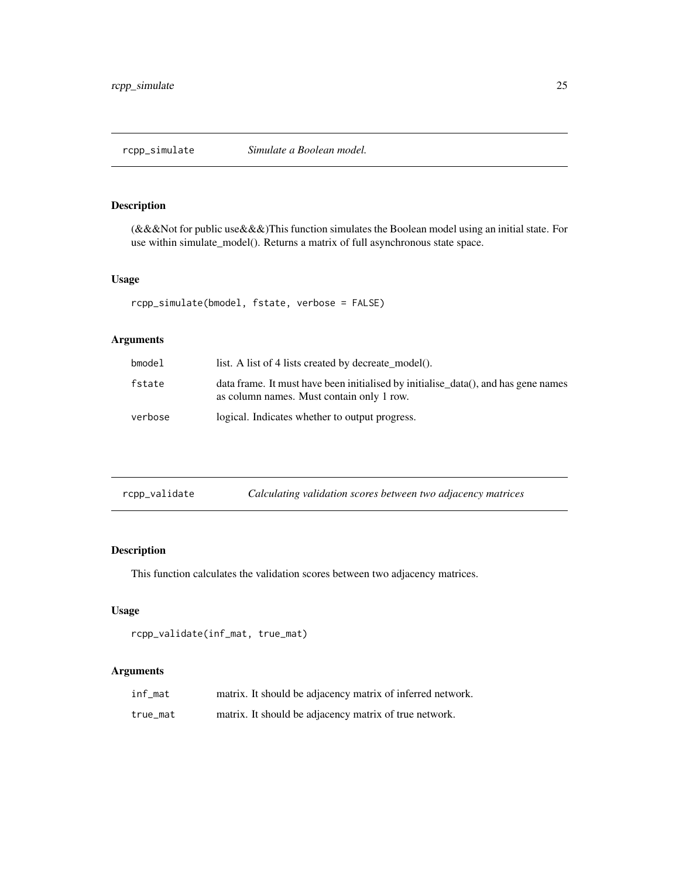<span id="page-24-0"></span>(&&&Not for public use&&&)This function simulates the Boolean model using an initial state. For use within simulate\_model(). Returns a matrix of full asynchronous state space.

## Usage

```
rcpp_simulate(bmodel, fstate, verbose = FALSE)
```
## Arguments

| bmodel  | list. A list of 4 lists created by decreate model().                                                                            |
|---------|---------------------------------------------------------------------------------------------------------------------------------|
| fstate  | data frame. It must have been initialised by initialise_data(), and has gene names<br>as column names. Must contain only 1 row. |
| verbose | logical. Indicates whether to output progress.                                                                                  |

| rcpp_validate | Calculating validation scores between two adjacency matrices |
|---------------|--------------------------------------------------------------|
|               |                                                              |

## Description

This function calculates the validation scores between two adjacency matrices.

## Usage

```
rcpp_validate(inf_mat, true_mat)
```

| inf_mat  | matrix. It should be adjacency matrix of inferred network. |
|----------|------------------------------------------------------------|
| true mat | matrix. It should be adjacency matrix of true network.     |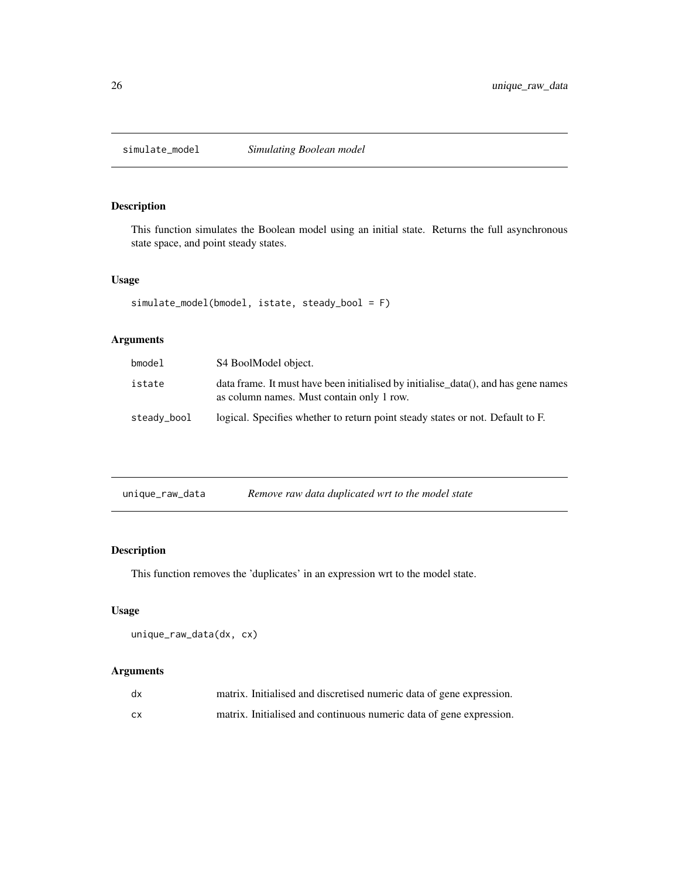<span id="page-25-0"></span>

This function simulates the Boolean model using an initial state. Returns the full asynchronous state space, and point steady states.

## Usage

```
simulate_model(bmodel, istate, steady_bool = F)
```
## Arguments

| bmodel      | S4 BoolModel object.                                                                                                            |
|-------------|---------------------------------------------------------------------------------------------------------------------------------|
| istate      | data frame. It must have been initialised by initialise_data(), and has gene names<br>as column names. Must contain only 1 row. |
| steady_bool | logical. Specifies whether to return point steady states or not. Default to F.                                                  |

| unique_raw_data | Remove raw data duplicated wrt to the model state |
|-----------------|---------------------------------------------------|
|-----------------|---------------------------------------------------|

## Description

This function removes the 'duplicates' in an expression wrt to the model state.

## Usage

```
unique_raw_data(dx, cx)
```

| dx | matrix. Initialised and discretised numeric data of gene expression. |
|----|----------------------------------------------------------------------|
| СX | matrix. Initialised and continuous numeric data of gene expression.  |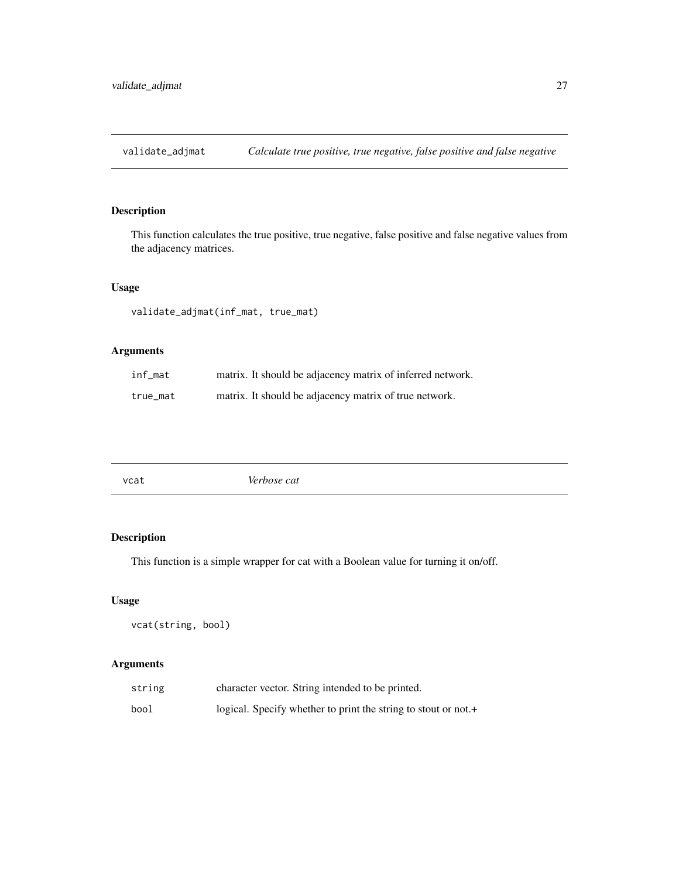<span id="page-26-0"></span>validate\_adjmat *Calculate true positive, true negative, false positive and false negative*

## Description

This function calculates the true positive, true negative, false positive and false negative values from the adjacency matrices.

## Usage

validate\_adjmat(inf\_mat, true\_mat)

## Arguments

| inf_mat  | matrix. It should be adjacency matrix of inferred network. |
|----------|------------------------------------------------------------|
| true mat | matrix. It should be adjacency matrix of true network.     |

| Verbose cat<br>vcat |
|---------------------|
|---------------------|

## Description

This function is a simple wrapper for cat with a Boolean value for turning it on/off.

## Usage

vcat(string, bool)

| string | character vector. String intended to be printed.               |
|--------|----------------------------------------------------------------|
| bool   | logical. Specify whether to print the string to stout or not.+ |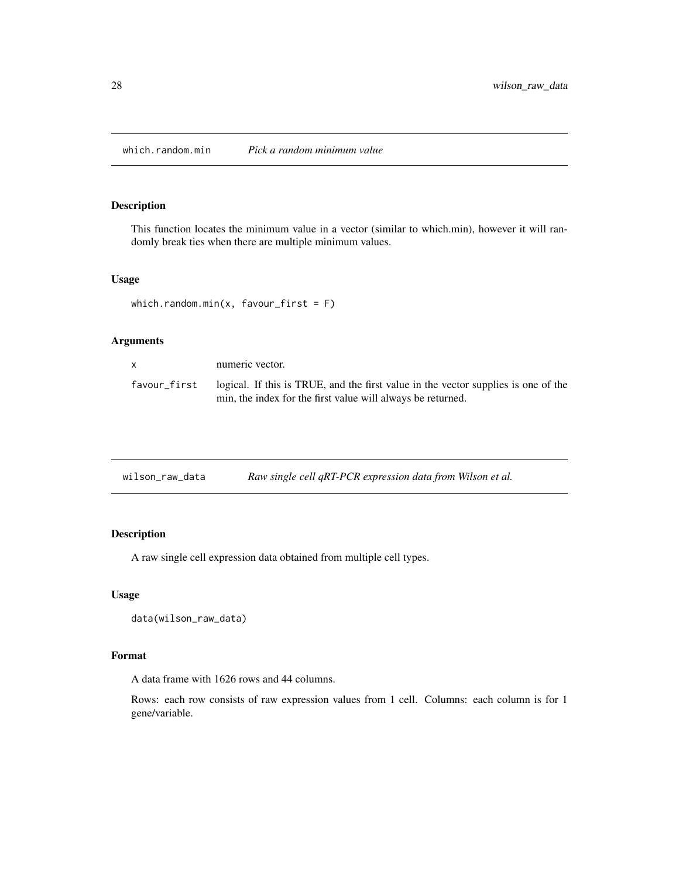<span id="page-27-0"></span>which.random.min *Pick a random minimum value*

## Description

This function locates the minimum value in a vector (similar to which.min), however it will randomly break ties when there are multiple minimum values.

#### Usage

```
which.random.min(x, favour_first = F)
```
## Arguments

| x            | numeric vector.                                                                                                                                   |
|--------------|---------------------------------------------------------------------------------------------------------------------------------------------------|
| favour first | logical. If this is TRUE, and the first value in the vector supplies is one of the<br>min, the index for the first value will always be returned. |

| wilson_raw_data | Raw single cell qRT-PCR expression data from Wilson et al. |  |
|-----------------|------------------------------------------------------------|--|
|-----------------|------------------------------------------------------------|--|

## Description

A raw single cell expression data obtained from multiple cell types.

## Usage

```
data(wilson_raw_data)
```
## Format

A data frame with 1626 rows and 44 columns.

Rows: each row consists of raw expression values from 1 cell. Columns: each column is for 1 gene/variable.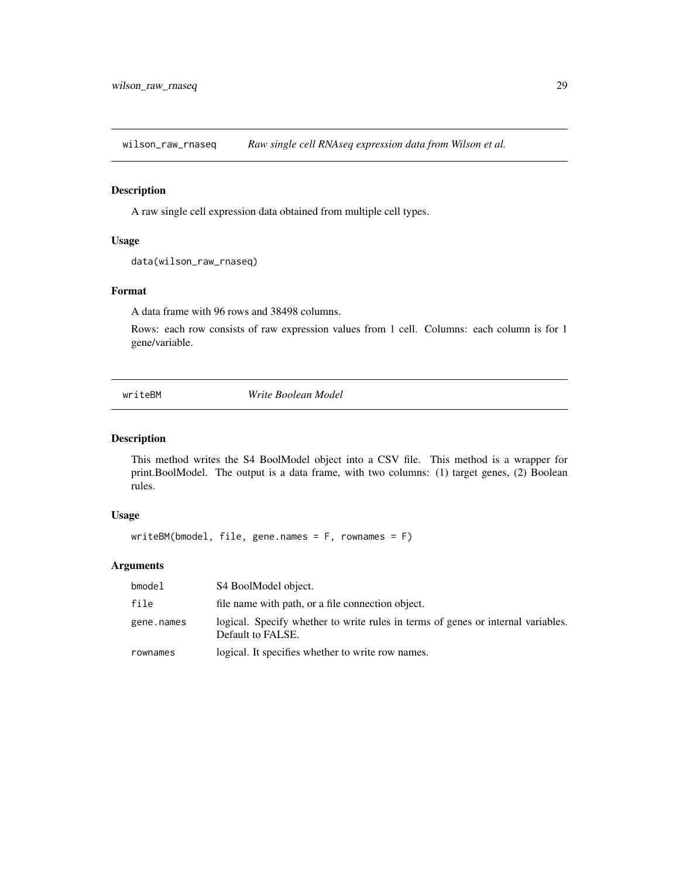<span id="page-28-0"></span>wilson\_raw\_rnaseq *Raw single cell RNAseq expression data from Wilson et al.*

## Description

A raw single cell expression data obtained from multiple cell types.

#### Usage

```
data(wilson_raw_rnaseq)
```
## Format

A data frame with 96 rows and 38498 columns.

Rows: each row consists of raw expression values from 1 cell. Columns: each column is for 1 gene/variable.

writeBM *Write Boolean Model*

#### Description

This method writes the S4 BoolModel object into a CSV file. This method is a wrapper for print.BoolModel. The output is a data frame, with two columns: (1) target genes, (2) Boolean rules.

#### Usage

writeBM(bmodel, file, gene.names = F, rownames = F)

| $b$ model  | S4 BoolModel object.                                                                                  |
|------------|-------------------------------------------------------------------------------------------------------|
| file       | file name with path, or a file connection object.                                                     |
| gene.names | logical. Specify whether to write rules in terms of genes or internal variables.<br>Default to FALSE. |
| rownames   | logical. It specifies whether to write row names.                                                     |